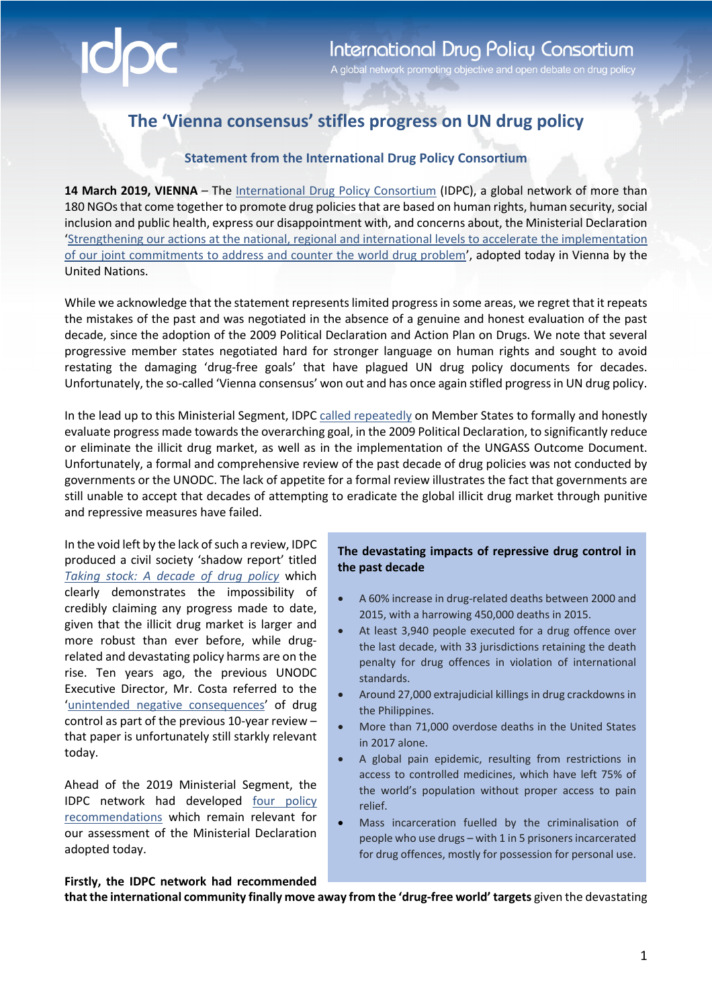## **The 'Vienna consensus' stifles progress on UN drug policy**

## **Statement from the International Drug Policy Consortium**

14 March 2019, VIENNA - The International Drug Policy Consortium (IDPC), a global network of more than 180 NGOs that come together to promote drug policies that are based on human rights, human security, social inclusion and public health, express our disappointment with, and concerns about, the Ministerial Declaration 'Strengthening our actions at the national, regional and international levels to accelerate the implementation of our joint commitments to address and counter the world drug problem', adopted today in Vienna by the United Nations.

While we acknowledge that the statement representslimited progress in some areas, we regret that it repeats the mistakes of the past and was negotiated in the absence of a genuine and honest evaluation of the past decade, since the adoption of the 2009 Political Declaration and Action Plan on Drugs. We note that several progressive member states negotiated hard for stronger language on human rights and sought to avoid restating the damaging 'drug-free goals' that have plagued UN drug policy documents for decades. Unfortunately, the so-called 'Vienna consensus' won out and has once again stifled progress in UN drug policy.

In the lead up to this Ministerial Segment, IDPC called repeatedly on Member States to formally and honestly evaluate progress made towards the overarching goal, in the 2009 Political Declaration, to significantly reduce or eliminate the illicit drug market, as well as in the implementation of the UNGASS Outcome Document. Unfortunately, a formal and comprehensive review of the past decade of drug policies was not conducted by governments or the UNODC. The lack of appetite for a formal review illustrates the fact that governments are still unable to accept that decades of attempting to eradicate the global illicit drug market through punitive and repressive measures have failed.

In the void left by the lack of such a review, IDPC produced a civil society 'shadow report' titled *Taking stock: A decade of drug policy* which clearly demonstrates the impossibility of credibly claiming any progress made to date, given that the illicit drug market is larger and more robust than ever before, while drugrelated and devastating policy harms are on the rise. Ten years ago, the previous UNODC Executive Director, Mr. Costa referred to the 'unintended negative consequences' of drug control as part of the previous 10-year review – that paper is unfortunately still starkly relevant today.

Ahead of the 2019 Ministerial Segment, the IDPC network had developed four policy recommendations which remain relevant for our assessment of the Ministerial Declaration adopted today.

## **The devastating impacts of repressive drug control in the past decade**

- A 60% increase in drug-related deaths between 2000 and 2015, with a harrowing 450,000 deaths in 2015.
- At least 3,940 people executed for a drug offence over the last decade, with 33 jurisdictions retaining the death penalty for drug offences in violation of international standards.
- Around 27,000 extrajudicial killings in drug crackdowns in the Philippines.
- More than 71,000 overdose deaths in the United States in 2017 alone.
- A global pain epidemic, resulting from restrictions in access to controlled medicines, which have left 75% of the world's population without proper access to pain relief.
- Mass incarceration fuelled by the criminalisation of people who use drugs – with 1 in 5 prisoners incarcerated for drug offences, mostly for possession for personal use.

**Firstly, the IDPC network had recommended** 

**that the international community finally move away from the 'drug-free world' targets** given the devastating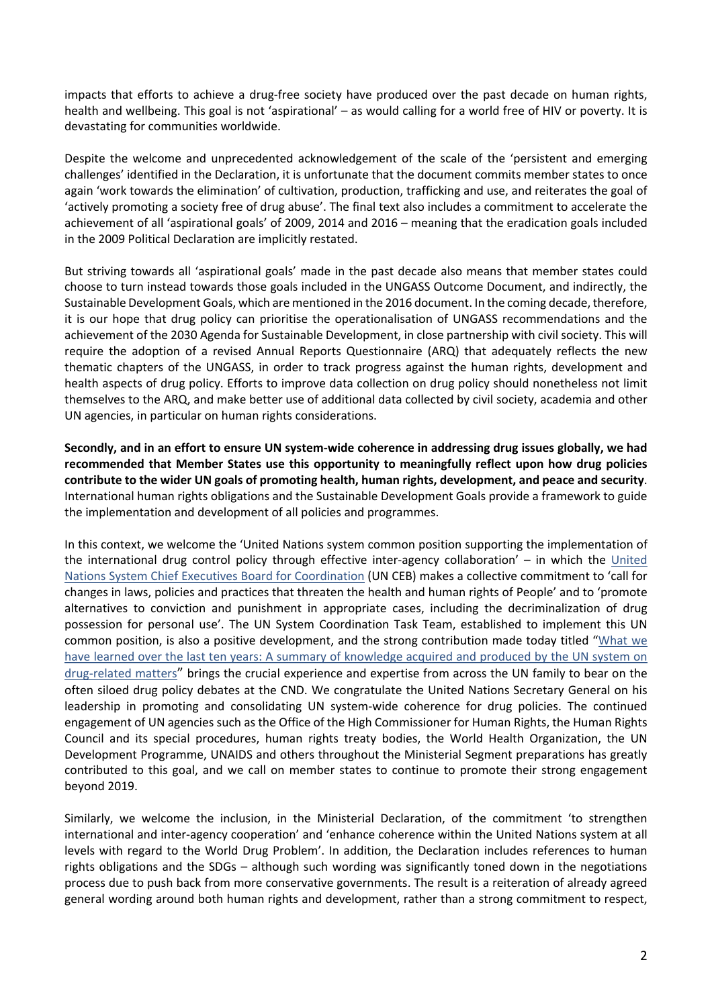impacts that efforts to achieve a drug-free society have produced over the past decade on human rights, health and wellbeing. This goal is not 'aspirational' – as would calling for a world free of HIV or poverty. It is devastating for communities worldwide.

Despite the welcome and unprecedented acknowledgement of the scale of the 'persistent and emerging challenges' identified in the Declaration, it is unfortunate that the document commits member states to once again 'work towards the elimination' of cultivation, production, trafficking and use, and reiterates the goal of 'actively promoting a society free of drug abuse'. The final text also includes a commitment to accelerate the achievement of all 'aspirational goals' of 2009, 2014 and 2016 – meaning that the eradication goals included in the 2009 Political Declaration are implicitly restated.

But striving towards all 'aspirational goals' made in the past decade also means that member states could choose to turn instead towards those goals included in the UNGASS Outcome Document, and indirectly, the Sustainable Development Goals, which are mentioned in the 2016 document. In the coming decade, therefore, it is our hope that drug policy can prioritise the operationalisation of UNGASS recommendations and the achievement of the 2030 Agenda for Sustainable Development, in close partnership with civil society. This will require the adoption of a revised Annual Reports Questionnaire (ARQ) that adequately reflects the new thematic chapters of the UNGASS, in order to track progress against the human rights, development and health aspects of drug policy. Efforts to improve data collection on drug policy should nonetheless not limit themselves to the ARQ, and make better use of additional data collected by civil society, academia and other UN agencies, in particular on human rights considerations.

**Secondly, and in an effort to ensure UN system-wide coherence in addressing drug issues globally, we had recommended that Member States use this opportunity to meaningfully reflect upon how drug policies contribute to the wider UN goals of promoting health, human rights, development, and peace and security**. International human rights obligations and the Sustainable Development Goals provide a framework to guide the implementation and development of all policies and programmes.

In this context, we welcome the 'United Nations system common position supporting the implementation of the international drug control policy through effective inter-agency collaboration' – in which the United Nations System Chief Executives Board for Coordination (UN CEB) makes a collective commitment to 'call for changes in laws, policies and practices that threaten the health and human rights of People' and to 'promote alternatives to conviction and punishment in appropriate cases, including the decriminalization of drug possession for personal use'. The UN System Coordination Task Team, established to implement this UN common position, is also a positive development, and the strong contribution made today titled "What we have learned over the last ten years: A summary of knowledge acquired and produced by the UN system on drug-related matters" brings the crucial experience and expertise from across the UN family to bear on the often siloed drug policy debates at the CND. We congratulate the United Nations Secretary General on his leadership in promoting and consolidating UN system-wide coherence for drug policies. The continued engagement of UN agencies such as the Office of the High Commissioner for Human Rights, the Human Rights Council and its special procedures, human rights treaty bodies, the World Health Organization, the UN Development Programme, UNAIDS and others throughout the Ministerial Segment preparations has greatly contributed to this goal, and we call on member states to continue to promote their strong engagement beyond 2019.

Similarly, we welcome the inclusion, in the Ministerial Declaration, of the commitment 'to strengthen international and inter-agency cooperation' and 'enhance coherence within the United Nations system at all levels with regard to the World Drug Problem'. In addition, the Declaration includes references to human rights obligations and the SDGs – although such wording was significantly toned down in the negotiations process due to push back from more conservative governments. The result is a reiteration of already agreed general wording around both human rights and development, rather than a strong commitment to respect,